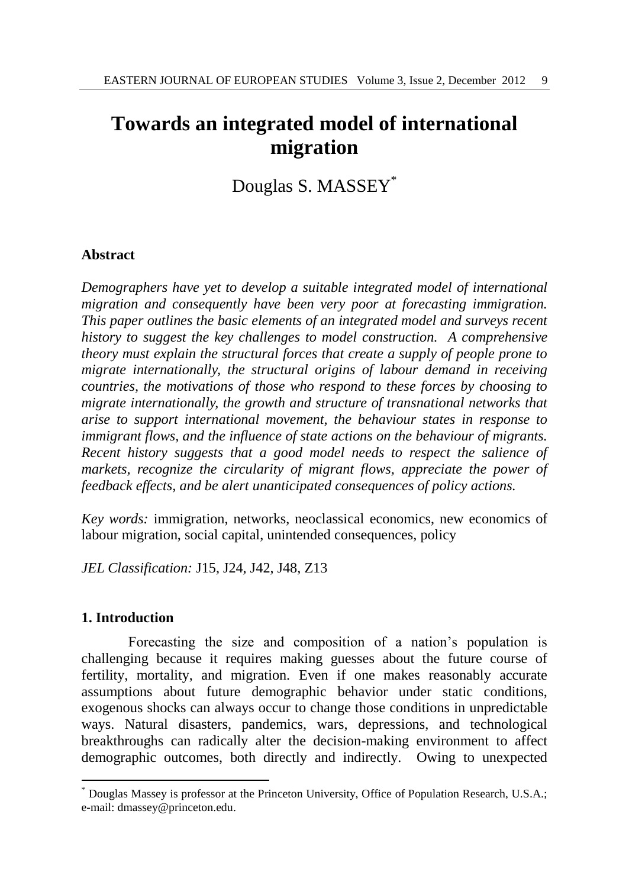# **Towards an integrated model of international migration**

Douglas S. MASSEY\*

# **Abstract**

*Demographers have yet to develop a suitable integrated model of international migration and consequently have been very poor at forecasting immigration. This paper outlines the basic elements of an integrated model and surveys recent history to suggest the key challenges to model construction. A comprehensive theory must explain the structural forces that create a supply of people prone to migrate internationally, the structural origins of labour demand in receiving countries, the motivations of those who respond to these forces by choosing to migrate internationally, the growth and structure of transnational networks that arise to support international movement, the behaviour states in response to immigrant flows, and the influence of state actions on the behaviour of migrants. Recent history suggests that a good model needs to respect the salience of markets, recognize the circularity of migrant flows, appreciate the power of feedback effects, and be alert unanticipated consequences of policy actions.*

*Key words:* immigration, networks, neoclassical economics, new economics of labour migration, social capital, unintended consequences, policy

*JEL Classification:* J15, J24, J42, J48, Z13

## **1. Introduction**

l

Forecasting the size and composition of a nation's population is challenging because it requires making guesses about the future course of fertility, mortality, and migration. Even if one makes reasonably accurate assumptions about future demographic behavior under static conditions, exogenous shocks can always occur to change those conditions in unpredictable ways. Natural disasters, pandemics, wars, depressions, and technological breakthroughs can radically alter the decision-making environment to affect demographic outcomes, both directly and indirectly. Owing to unexpected

Douglas Massey is professor at the Princeton University, Office of Population Research, U.S.A.; e-mail: dmassey@princeton.edu.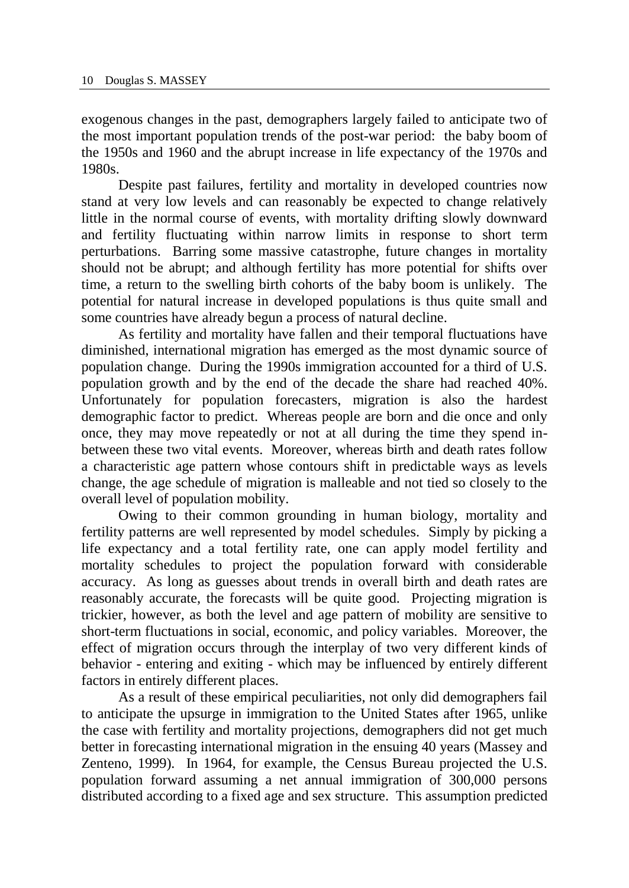exogenous changes in the past, demographers largely failed to anticipate two of the most important population trends of the post-war period: the baby boom of the 1950s and 1960 and the abrupt increase in life expectancy of the 1970s and 1980s.

Despite past failures, fertility and mortality in developed countries now stand at very low levels and can reasonably be expected to change relatively little in the normal course of events, with mortality drifting slowly downward and fertility fluctuating within narrow limits in response to short term perturbations. Barring some massive catastrophe, future changes in mortality should not be abrupt; and although fertility has more potential for shifts over time, a return to the swelling birth cohorts of the baby boom is unlikely. The potential for natural increase in developed populations is thus quite small and some countries have already begun a process of natural decline.

As fertility and mortality have fallen and their temporal fluctuations have diminished, international migration has emerged as the most dynamic source of population change. During the 1990s immigration accounted for a third of U.S. population growth and by the end of the decade the share had reached 40%. Unfortunately for population forecasters, migration is also the hardest demographic factor to predict. Whereas people are born and die once and only once, they may move repeatedly or not at all during the time they spend inbetween these two vital events. Moreover, whereas birth and death rates follow a characteristic age pattern whose contours shift in predictable ways as levels change, the age schedule of migration is malleable and not tied so closely to the overall level of population mobility.

Owing to their common grounding in human biology, mortality and fertility patterns are well represented by model schedules. Simply by picking a life expectancy and a total fertility rate, one can apply model fertility and mortality schedules to project the population forward with considerable accuracy. As long as guesses about trends in overall birth and death rates are reasonably accurate, the forecasts will be quite good. Projecting migration is trickier, however, as both the level and age pattern of mobility are sensitive to short-term fluctuations in social, economic, and policy variables. Moreover, the effect of migration occurs through the interplay of two very different kinds of behavior - entering and exiting - which may be influenced by entirely different factors in entirely different places.

As a result of these empirical peculiarities, not only did demographers fail to anticipate the upsurge in immigration to the United States after 1965, unlike the case with fertility and mortality projections, demographers did not get much better in forecasting international migration in the ensuing 40 years (Massey and Zenteno, 1999). In 1964, for example, the Census Bureau projected the U.S. population forward assuming a net annual immigration of 300,000 persons distributed according to a fixed age and sex structure. This assumption predicted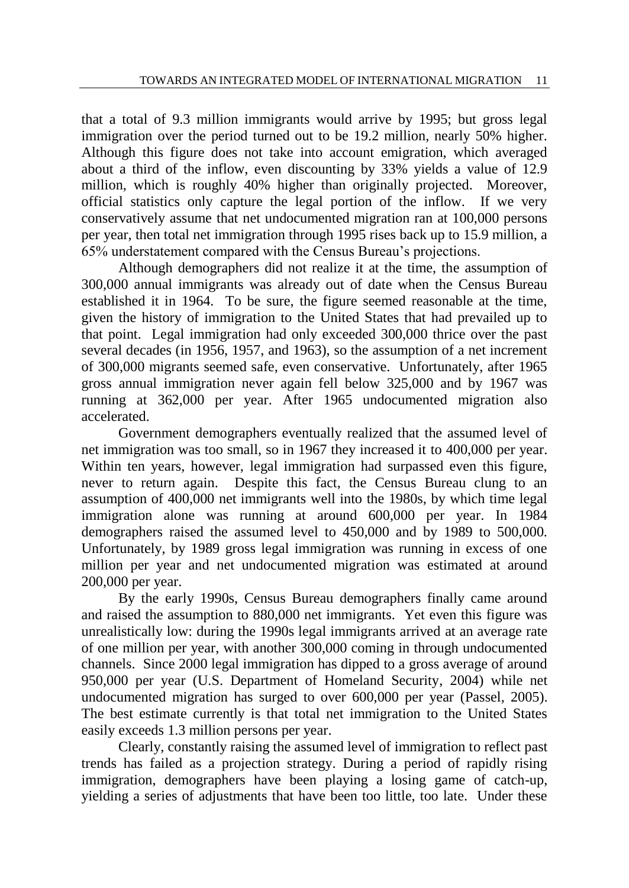that a total of 9.3 million immigrants would arrive by 1995; but gross legal immigration over the period turned out to be 19.2 million, nearly 50% higher. Although this figure does not take into account emigration, which averaged about a third of the inflow, even discounting by 33% yields a value of 12.9 million, which is roughly 40% higher than originally projected. Moreover, official statistics only capture the legal portion of the inflow. If we very conservatively assume that net undocumented migration ran at 100,000 persons per year, then total net immigration through 1995 rises back up to 15.9 million, a 65% understatement compared with the Census Bureau's projections.

Although demographers did not realize it at the time, the assumption of 300,000 annual immigrants was already out of date when the Census Bureau established it in 1964. To be sure, the figure seemed reasonable at the time, given the history of immigration to the United States that had prevailed up to that point. Legal immigration had only exceeded 300,000 thrice over the past several decades (in 1956, 1957, and 1963), so the assumption of a net increment of 300,000 migrants seemed safe, even conservative. Unfortunately, after 1965 gross annual immigration never again fell below 325,000 and by 1967 was running at 362,000 per year. After 1965 undocumented migration also accelerated.

Government demographers eventually realized that the assumed level of net immigration was too small, so in 1967 they increased it to 400,000 per year. Within ten years, however, legal immigration had surpassed even this figure, never to return again. Despite this fact, the Census Bureau clung to an assumption of 400,000 net immigrants well into the 1980s, by which time legal immigration alone was running at around 600,000 per year. In 1984 demographers raised the assumed level to 450,000 and by 1989 to 500,000. Unfortunately, by 1989 gross legal immigration was running in excess of one million per year and net undocumented migration was estimated at around 200,000 per year.

By the early 1990s, Census Bureau demographers finally came around and raised the assumption to 880,000 net immigrants. Yet even this figure was unrealistically low: during the 1990s legal immigrants arrived at an average rate of one million per year, with another 300,000 coming in through undocumented channels. Since 2000 legal immigration has dipped to a gross average of around 950,000 per year (U.S. Department of Homeland Security, 2004) while net undocumented migration has surged to over 600,000 per year (Passel, 2005). The best estimate currently is that total net immigration to the United States easily exceeds 1.3 million persons per year.

Clearly, constantly raising the assumed level of immigration to reflect past trends has failed as a projection strategy. During a period of rapidly rising immigration, demographers have been playing a losing game of catch-up, yielding a series of adjustments that have been too little, too late. Under these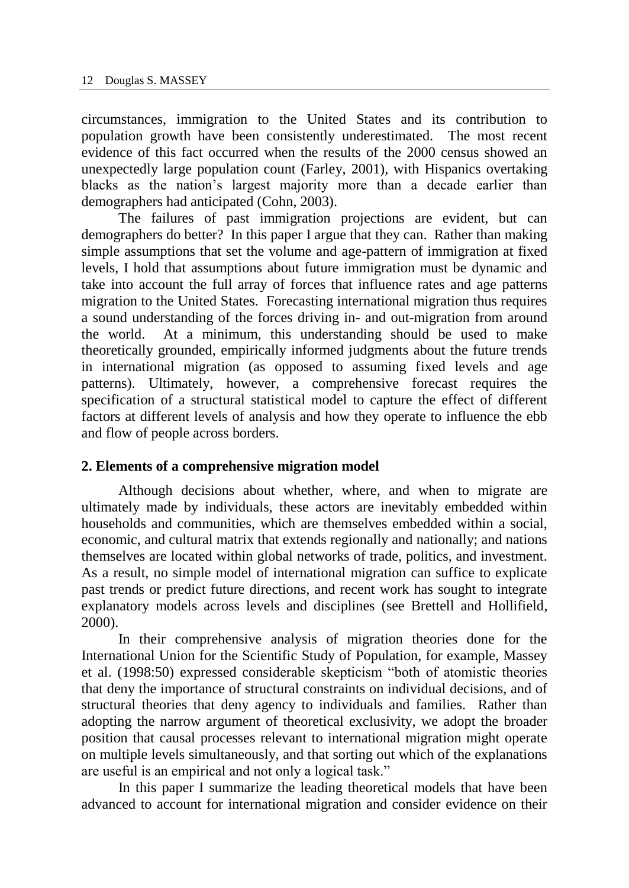circumstances, immigration to the United States and its contribution to population growth have been consistently underestimated. The most recent evidence of this fact occurred when the results of the 2000 census showed an unexpectedly large population count (Farley, 2001), with Hispanics overtaking blacks as the nation's largest majority more than a decade earlier than demographers had anticipated (Cohn, 2003).

The failures of past immigration projections are evident, but can demographers do better? In this paper I argue that they can. Rather than making simple assumptions that set the volume and age-pattern of immigration at fixed levels, I hold that assumptions about future immigration must be dynamic and take into account the full array of forces that influence rates and age patterns migration to the United States. Forecasting international migration thus requires a sound understanding of the forces driving in- and out-migration from around the world. At a minimum, this understanding should be used to make theoretically grounded, empirically informed judgments about the future trends in international migration (as opposed to assuming fixed levels and age patterns). Ultimately, however, a comprehensive forecast requires the specification of a structural statistical model to capture the effect of different factors at different levels of analysis and how they operate to influence the ebb and flow of people across borders.

### **2. Elements of a comprehensive migration model**

Although decisions about whether, where, and when to migrate are ultimately made by individuals, these actors are inevitably embedded within households and communities, which are themselves embedded within a social, economic, and cultural matrix that extends regionally and nationally; and nations themselves are located within global networks of trade, politics, and investment. As a result, no simple model of international migration can suffice to explicate past trends or predict future directions, and recent work has sought to integrate explanatory models across levels and disciplines (see Brettell and Hollifield, 2000).

In their comprehensive analysis of migration theories done for the International Union for the Scientific Study of Population, for example, Massey et al. (1998:50) expressed considerable skepticism "both of atomistic theories that deny the importance of structural constraints on individual decisions, and of structural theories that deny agency to individuals and families. Rather than adopting the narrow argument of theoretical exclusivity, we adopt the broader position that causal processes relevant to international migration might operate on multiple levels simultaneously, and that sorting out which of the explanations are useful is an empirical and not only a logical task."

In this paper I summarize the leading theoretical models that have been advanced to account for international migration and consider evidence on their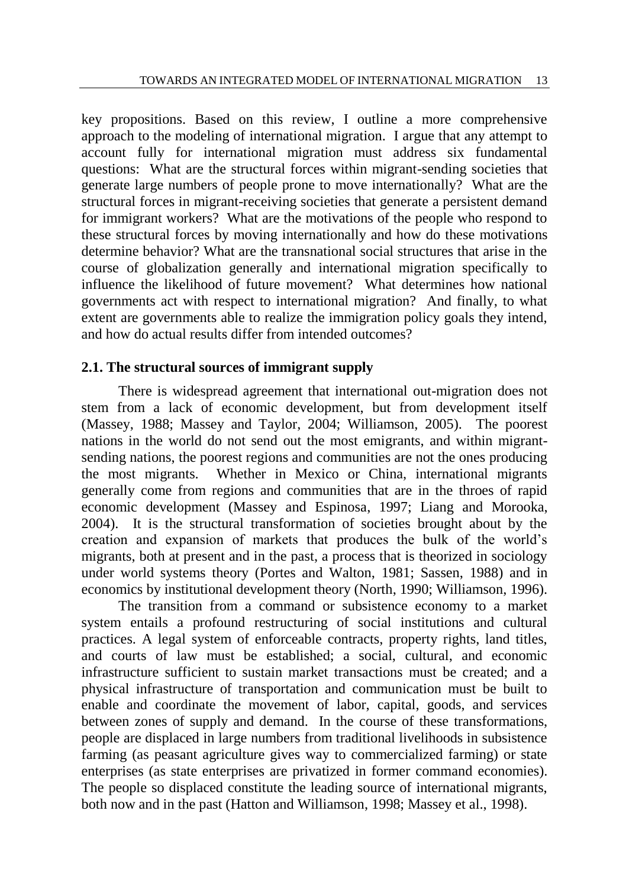key propositions. Based on this review, I outline a more comprehensive approach to the modeling of international migration. I argue that any attempt to account fully for international migration must address six fundamental questions: What are the structural forces within migrant-sending societies that generate large numbers of people prone to move internationally? What are the structural forces in migrant-receiving societies that generate a persistent demand for immigrant workers? What are the motivations of the people who respond to these structural forces by moving internationally and how do these motivations determine behavior? What are the transnational social structures that arise in the course of globalization generally and international migration specifically to influence the likelihood of future movement? What determines how national governments act with respect to international migration? And finally, to what extent are governments able to realize the immigration policy goals they intend, and how do actual results differ from intended outcomes?

## **2.1. The structural sources of immigrant supply**

There is widespread agreement that international out-migration does not stem from a lack of economic development, but from development itself (Massey, 1988; Massey and Taylor, 2004; Williamson, 2005). The poorest nations in the world do not send out the most emigrants, and within migrantsending nations, the poorest regions and communities are not the ones producing the most migrants. Whether in Mexico or China, international migrants generally come from regions and communities that are in the throes of rapid economic development (Massey and Espinosa, 1997; Liang and Morooka, 2004). It is the structural transformation of societies brought about by the creation and expansion of markets that produces the bulk of the world's migrants, both at present and in the past, a process that is theorized in sociology under world systems theory (Portes and Walton, 1981; Sassen, 1988) and in economics by institutional development theory (North, 1990; Williamson, 1996).

The transition from a command or subsistence economy to a market system entails a profound restructuring of social institutions and cultural practices. A legal system of enforceable contracts, property rights, land titles, and courts of law must be established; a social, cultural, and economic infrastructure sufficient to sustain market transactions must be created; and a physical infrastructure of transportation and communication must be built to enable and coordinate the movement of labor, capital, goods, and services between zones of supply and demand. In the course of these transformations, people are displaced in large numbers from traditional livelihoods in subsistence farming (as peasant agriculture gives way to commercialized farming) or state enterprises (as state enterprises are privatized in former command economies). The people so displaced constitute the leading source of international migrants, both now and in the past (Hatton and Williamson, 1998; Massey et al., 1998).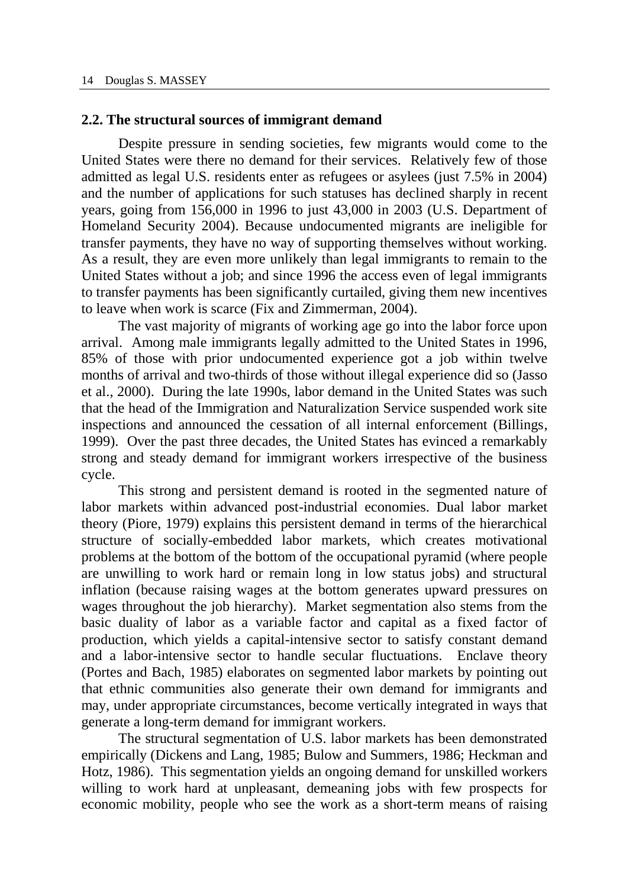#### **2.2. The structural sources of immigrant demand**

Despite pressure in sending societies, few migrants would come to the United States were there no demand for their services. Relatively few of those admitted as legal U.S. residents enter as refugees or asylees (just 7.5% in 2004) and the number of applications for such statuses has declined sharply in recent years, going from 156,000 in 1996 to just 43,000 in 2003 (U.S. Department of Homeland Security 2004). Because undocumented migrants are ineligible for transfer payments, they have no way of supporting themselves without working. As a result, they are even more unlikely than legal immigrants to remain to the United States without a job; and since 1996 the access even of legal immigrants to transfer payments has been significantly curtailed, giving them new incentives to leave when work is scarce (Fix and Zimmerman, 2004).

The vast majority of migrants of working age go into the labor force upon arrival. Among male immigrants legally admitted to the United States in 1996, 85% of those with prior undocumented experience got a job within twelve months of arrival and two-thirds of those without illegal experience did so (Jasso et al., 2000). During the late 1990s, labor demand in the United States was such that the head of the Immigration and Naturalization Service suspended work site inspections and announced the cessation of all internal enforcement (Billings, 1999). Over the past three decades, the United States has evinced a remarkably strong and steady demand for immigrant workers irrespective of the business cycle.

This strong and persistent demand is rooted in the segmented nature of labor markets within advanced post-industrial economies. Dual labor market theory (Piore, 1979) explains this persistent demand in terms of the hierarchical structure of socially-embedded labor markets, which creates motivational problems at the bottom of the bottom of the occupational pyramid (where people are unwilling to work hard or remain long in low status jobs) and structural inflation (because raising wages at the bottom generates upward pressures on wages throughout the job hierarchy). Market segmentation also stems from the basic duality of labor as a variable factor and capital as a fixed factor of production, which yields a capital-intensive sector to satisfy constant demand and a labor-intensive sector to handle secular fluctuations. Enclave theory (Portes and Bach, 1985) elaborates on segmented labor markets by pointing out that ethnic communities also generate their own demand for immigrants and may, under appropriate circumstances, become vertically integrated in ways that generate a long-term demand for immigrant workers.

The structural segmentation of U.S. labor markets has been demonstrated empirically (Dickens and Lang, 1985; Bulow and Summers, 1986; Heckman and Hotz, 1986). This segmentation yields an ongoing demand for unskilled workers willing to work hard at unpleasant, demeaning jobs with few prospects for economic mobility, people who see the work as a short-term means of raising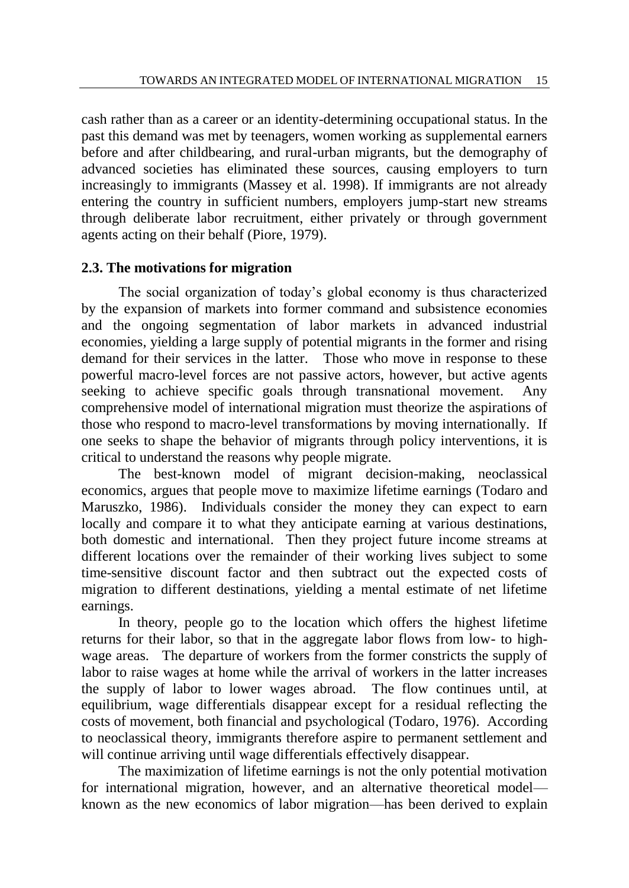cash rather than as a career or an identity-determining occupational status. In the past this demand was met by teenagers, women working as supplemental earners before and after childbearing, and rural-urban migrants, but the demography of advanced societies has eliminated these sources, causing employers to turn increasingly to immigrants (Massey et al. 1998). If immigrants are not already entering the country in sufficient numbers, employers jump-start new streams through deliberate labor recruitment, either privately or through government agents acting on their behalf (Piore, 1979).

# **2.3. The motivations for migration**

The social organization of today's global economy is thus characterized by the expansion of markets into former command and subsistence economies and the ongoing segmentation of labor markets in advanced industrial economies, yielding a large supply of potential migrants in the former and rising demand for their services in the latter. Those who move in response to these powerful macro-level forces are not passive actors, however, but active agents seeking to achieve specific goals through transnational movement. Any comprehensive model of international migration must theorize the aspirations of those who respond to macro-level transformations by moving internationally. If one seeks to shape the behavior of migrants through policy interventions, it is critical to understand the reasons why people migrate.

The best-known model of migrant decision-making, neoclassical economics, argues that people move to maximize lifetime earnings (Todaro and Maruszko, 1986). Individuals consider the money they can expect to earn locally and compare it to what they anticipate earning at various destinations, both domestic and international. Then they project future income streams at different locations over the remainder of their working lives subject to some time-sensitive discount factor and then subtract out the expected costs of migration to different destinations, yielding a mental estimate of net lifetime earnings.

In theory, people go to the location which offers the highest lifetime returns for their labor, so that in the aggregate labor flows from low- to highwage areas. The departure of workers from the former constricts the supply of labor to raise wages at home while the arrival of workers in the latter increases the supply of labor to lower wages abroad. The flow continues until, at equilibrium, wage differentials disappear except for a residual reflecting the costs of movement, both financial and psychological (Todaro, 1976). According to neoclassical theory, immigrants therefore aspire to permanent settlement and will continue arriving until wage differentials effectively disappear.

The maximization of lifetime earnings is not the only potential motivation for international migration, however, and an alternative theoretical model known as the new economics of labor migration—has been derived to explain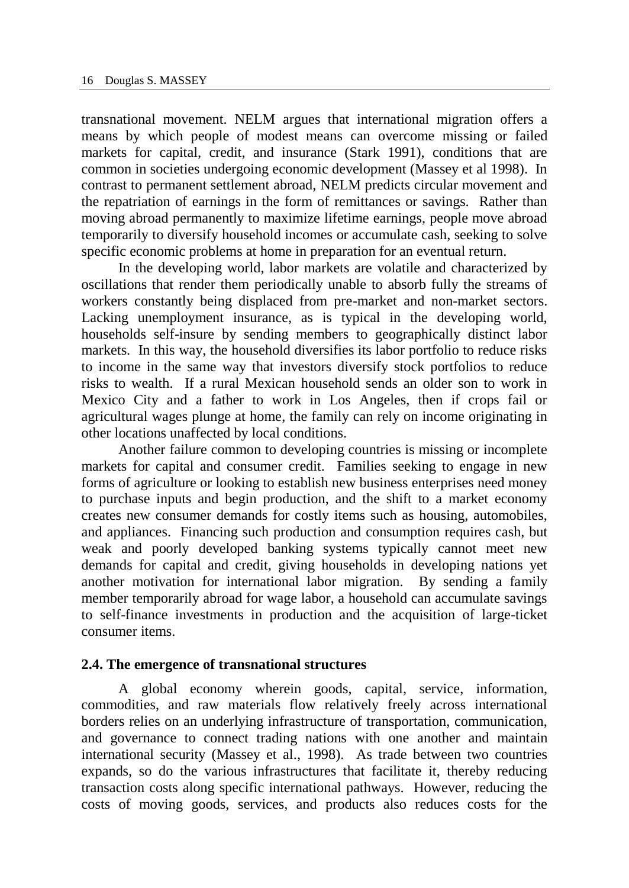transnational movement. NELM argues that international migration offers a means by which people of modest means can overcome missing or failed markets for capital, credit, and insurance (Stark 1991), conditions that are common in societies undergoing economic development (Massey et al 1998). In contrast to permanent settlement abroad, NELM predicts circular movement and the repatriation of earnings in the form of remittances or savings. Rather than moving abroad permanently to maximize lifetime earnings, people move abroad temporarily to diversify household incomes or accumulate cash, seeking to solve specific economic problems at home in preparation for an eventual return.

In the developing world, labor markets are volatile and characterized by oscillations that render them periodically unable to absorb fully the streams of workers constantly being displaced from pre-market and non-market sectors. Lacking unemployment insurance, as is typical in the developing world, households self-insure by sending members to geographically distinct labor markets. In this way, the household diversifies its labor portfolio to reduce risks to income in the same way that investors diversify stock portfolios to reduce risks to wealth. If a rural Mexican household sends an older son to work in Mexico City and a father to work in Los Angeles, then if crops fail or agricultural wages plunge at home, the family can rely on income originating in other locations unaffected by local conditions.

Another failure common to developing countries is missing or incomplete markets for capital and consumer credit. Families seeking to engage in new forms of agriculture or looking to establish new business enterprises need money to purchase inputs and begin production, and the shift to a market economy creates new consumer demands for costly items such as housing, automobiles, and appliances. Financing such production and consumption requires cash, but weak and poorly developed banking systems typically cannot meet new demands for capital and credit, giving households in developing nations yet another motivation for international labor migration. By sending a family member temporarily abroad for wage labor, a household can accumulate savings to self-finance investments in production and the acquisition of large-ticket consumer items.

### **2.4. The emergence of transnational structures**

A global economy wherein goods, capital, service, information, commodities, and raw materials flow relatively freely across international borders relies on an underlying infrastructure of transportation, communication, and governance to connect trading nations with one another and maintain international security (Massey et al., 1998). As trade between two countries expands, so do the various infrastructures that facilitate it, thereby reducing transaction costs along specific international pathways. However, reducing the costs of moving goods, services, and products also reduces costs for the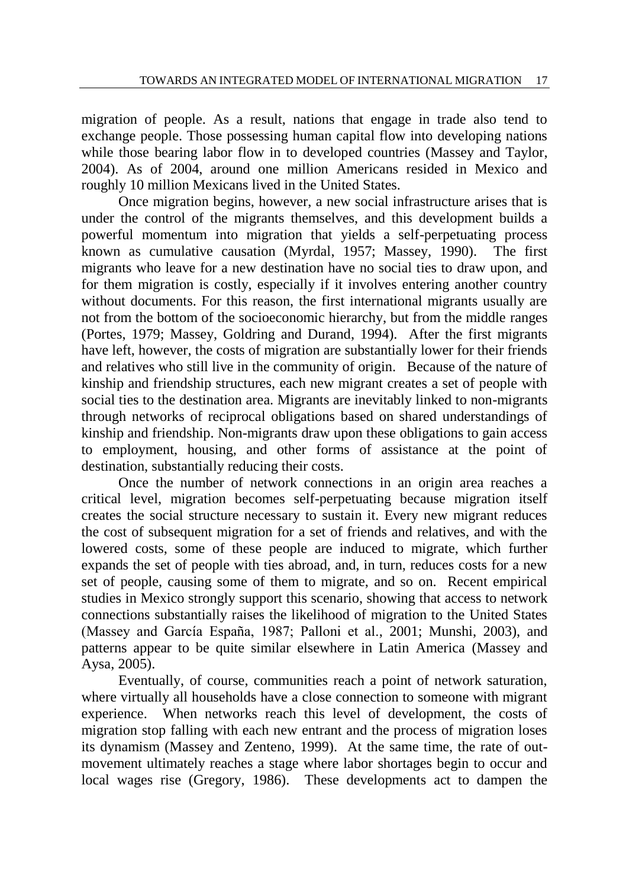migration of people. As a result, nations that engage in trade also tend to exchange people. Those possessing human capital flow into developing nations while those bearing labor flow in to developed countries (Massey and Taylor, 2004). As of 2004, around one million Americans resided in Mexico and roughly 10 million Mexicans lived in the United States.

Once migration begins, however, a new social infrastructure arises that is under the control of the migrants themselves, and this development builds a powerful momentum into migration that yields a self-perpetuating process known as cumulative causation (Myrdal, 1957; Massey, 1990). The first migrants who leave for a new destination have no social ties to draw upon, and for them migration is costly, especially if it involves entering another country without documents. For this reason, the first international migrants usually are not from the bottom of the socioeconomic hierarchy, but from the middle ranges (Portes, 1979; Massey, Goldring and Durand, 1994). After the first migrants have left, however, the costs of migration are substantially lower for their friends and relatives who still live in the community of origin. Because of the nature of kinship and friendship structures, each new migrant creates a set of people with social ties to the destination area. Migrants are inevitably linked to non-migrants through networks of reciprocal obligations based on shared understandings of kinship and friendship. Non-migrants draw upon these obligations to gain access to employment, housing, and other forms of assistance at the point of destination, substantially reducing their costs.

Once the number of network connections in an origin area reaches a critical level, migration becomes self-perpetuating because migration itself creates the social structure necessary to sustain it. Every new migrant reduces the cost of subsequent migration for a set of friends and relatives, and with the lowered costs, some of these people are induced to migrate, which further expands the set of people with ties abroad, and, in turn, reduces costs for a new set of people, causing some of them to migrate, and so on. Recent empirical studies in Mexico strongly support this scenario, showing that access to network connections substantially raises the likelihood of migration to the United States (Massey and García España, 1987; Palloni et al., 2001; Munshi, 2003), and patterns appear to be quite similar elsewhere in Latin America (Massey and Aysa, 2005).

Eventually, of course, communities reach a point of network saturation, where virtually all households have a close connection to someone with migrant experience. When networks reach this level of development, the costs of migration stop falling with each new entrant and the process of migration loses its dynamism (Massey and Zenteno, 1999). At the same time, the rate of outmovement ultimately reaches a stage where labor shortages begin to occur and local wages rise (Gregory, 1986). These developments act to dampen the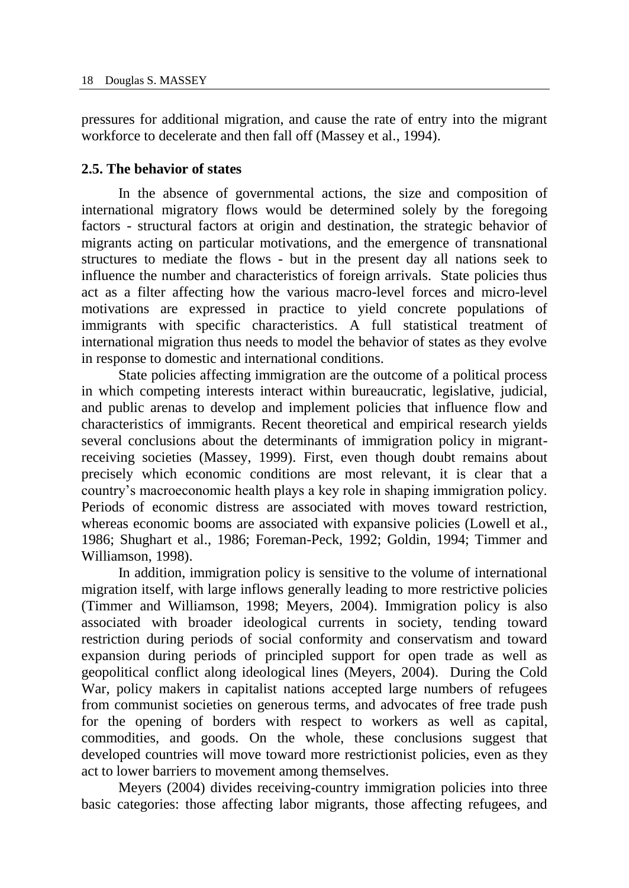pressures for additional migration, and cause the rate of entry into the migrant workforce to decelerate and then fall off (Massey et al., 1994).

# **2.5. The behavior of states**

In the absence of governmental actions, the size and composition of international migratory flows would be determined solely by the foregoing factors - structural factors at origin and destination, the strategic behavior of migrants acting on particular motivations, and the emergence of transnational structures to mediate the flows - but in the present day all nations seek to influence the number and characteristics of foreign arrivals. State policies thus act as a filter affecting how the various macro-level forces and micro-level motivations are expressed in practice to yield concrete populations of immigrants with specific characteristics. A full statistical treatment of international migration thus needs to model the behavior of states as they evolve in response to domestic and international conditions.

State policies affecting immigration are the outcome of a political process in which competing interests interact within bureaucratic, legislative, judicial, and public arenas to develop and implement policies that influence flow and characteristics of immigrants. Recent theoretical and empirical research yields several conclusions about the determinants of immigration policy in migrantreceiving societies (Massey, 1999). First, even though doubt remains about precisely which economic conditions are most relevant, it is clear that a country's macroeconomic health plays a key role in shaping immigration policy. Periods of economic distress are associated with moves toward restriction, whereas economic booms are associated with expansive policies (Lowell et al., 1986; Shughart et al., 1986; Foreman-Peck, 1992; Goldin, 1994; Timmer and Williamson, 1998).

In addition, immigration policy is sensitive to the volume of international migration itself, with large inflows generally leading to more restrictive policies (Timmer and Williamson, 1998; Meyers, 2004). Immigration policy is also associated with broader ideological currents in society, tending toward restriction during periods of social conformity and conservatism and toward expansion during periods of principled support for open trade as well as geopolitical conflict along ideological lines (Meyers, 2004). During the Cold War, policy makers in capitalist nations accepted large numbers of refugees from communist societies on generous terms, and advocates of free trade push for the opening of borders with respect to workers as well as capital, commodities, and goods. On the whole, these conclusions suggest that developed countries will move toward more restrictionist policies, even as they act to lower barriers to movement among themselves.

Meyers (2004) divides receiving-country immigration policies into three basic categories: those affecting labor migrants, those affecting refugees, and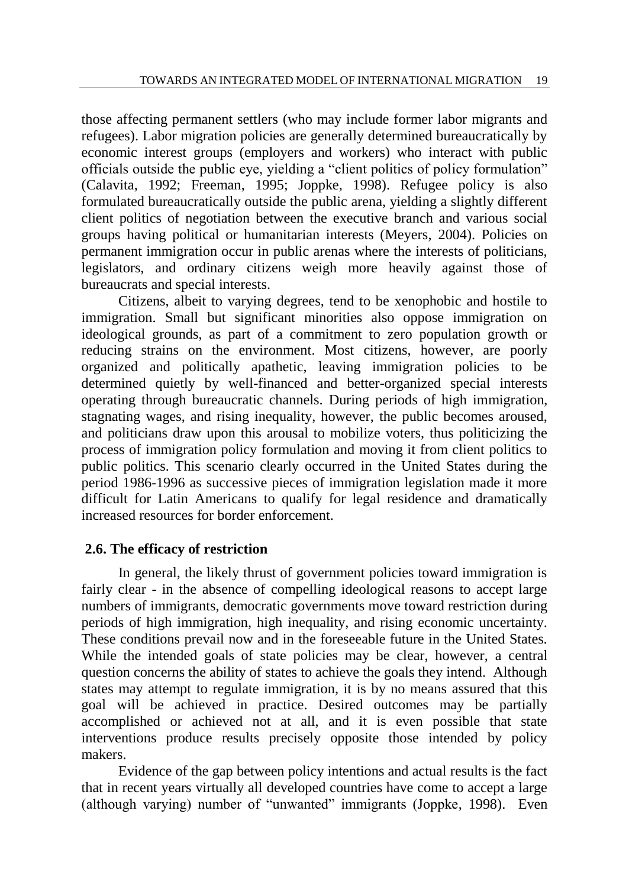those affecting permanent settlers (who may include former labor migrants and refugees). Labor migration policies are generally determined bureaucratically by economic interest groups (employers and workers) who interact with public officials outside the public eye, yielding a "client politics of policy formulation" (Calavita, 1992; Freeman, 1995; Joppke, 1998). Refugee policy is also formulated bureaucratically outside the public arena, yielding a slightly different client politics of negotiation between the executive branch and various social groups having political or humanitarian interests (Meyers, 2004). Policies on permanent immigration occur in public arenas where the interests of politicians, legislators, and ordinary citizens weigh more heavily against those of bureaucrats and special interests.

Citizens, albeit to varying degrees, tend to be xenophobic and hostile to immigration. Small but significant minorities also oppose immigration on ideological grounds, as part of a commitment to zero population growth or reducing strains on the environment. Most citizens, however, are poorly organized and politically apathetic, leaving immigration policies to be determined quietly by well-financed and better-organized special interests operating through bureaucratic channels. During periods of high immigration, stagnating wages, and rising inequality, however, the public becomes aroused, and politicians draw upon this arousal to mobilize voters, thus politicizing the process of immigration policy formulation and moving it from client politics to public politics. This scenario clearly occurred in the United States during the period 1986-1996 as successive pieces of immigration legislation made it more difficult for Latin Americans to qualify for legal residence and dramatically increased resources for border enforcement.

## **2.6. The efficacy of restriction**

In general, the likely thrust of government policies toward immigration is fairly clear - in the absence of compelling ideological reasons to accept large numbers of immigrants, democratic governments move toward restriction during periods of high immigration, high inequality, and rising economic uncertainty. These conditions prevail now and in the foreseeable future in the United States. While the intended goals of state policies may be clear, however, a central question concerns the ability of states to achieve the goals they intend. Although states may attempt to regulate immigration, it is by no means assured that this goal will be achieved in practice. Desired outcomes may be partially accomplished or achieved not at all, and it is even possible that state interventions produce results precisely opposite those intended by policy makers.

Evidence of the gap between policy intentions and actual results is the fact that in recent years virtually all developed countries have come to accept a large (although varying) number of "unwanted" immigrants (Joppke, 1998). Even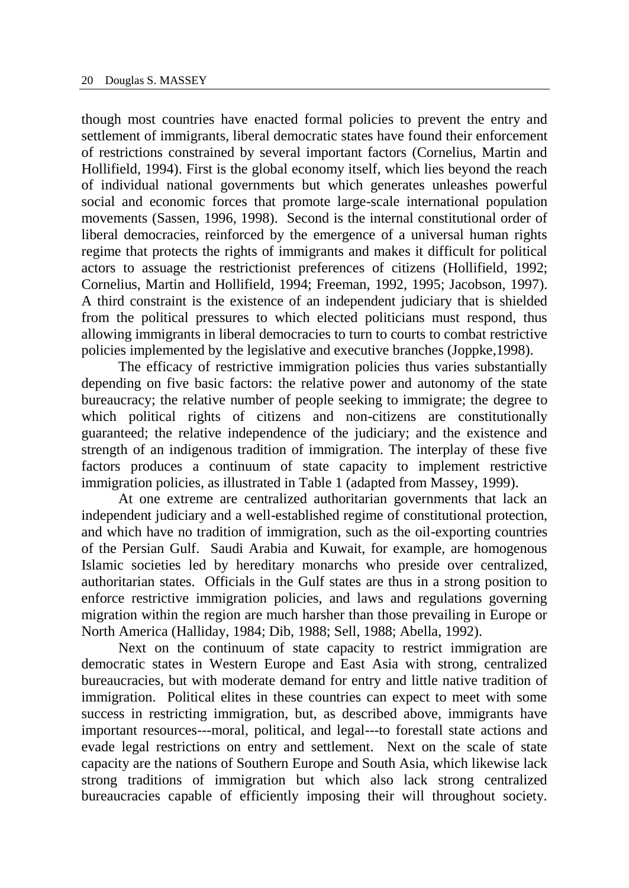though most countries have enacted formal policies to prevent the entry and settlement of immigrants, liberal democratic states have found their enforcement of restrictions constrained by several important factors (Cornelius, Martin and Hollifield, 1994). First is the global economy itself, which lies beyond the reach of individual national governments but which generates unleashes powerful social and economic forces that promote large-scale international population movements (Sassen, 1996, 1998). Second is the internal constitutional order of liberal democracies, reinforced by the emergence of a universal human rights regime that protects the rights of immigrants and makes it difficult for political actors to assuage the restrictionist preferences of citizens (Hollifield, 1992; Cornelius, Martin and Hollifield, 1994; Freeman, 1992, 1995; Jacobson, 1997). A third constraint is the existence of an independent judiciary that is shielded from the political pressures to which elected politicians must respond, thus allowing immigrants in liberal democracies to turn to courts to combat restrictive policies implemented by the legislative and executive branches (Joppke,1998).

The efficacy of restrictive immigration policies thus varies substantially depending on five basic factors: the relative power and autonomy of the state bureaucracy; the relative number of people seeking to immigrate; the degree to which political rights of citizens and non-citizens are constitutionally guaranteed; the relative independence of the judiciary; and the existence and strength of an indigenous tradition of immigration. The interplay of these five factors produces a continuum of state capacity to implement restrictive immigration policies, as illustrated in Table 1 (adapted from Massey, 1999).

At one extreme are centralized authoritarian governments that lack an independent judiciary and a well-established regime of constitutional protection, and which have no tradition of immigration, such as the oil-exporting countries of the Persian Gulf. Saudi Arabia and Kuwait, for example, are homogenous Islamic societies led by hereditary monarchs who preside over centralized, authoritarian states. Officials in the Gulf states are thus in a strong position to enforce restrictive immigration policies, and laws and regulations governing migration within the region are much harsher than those prevailing in Europe or North America (Halliday, 1984; Dib, 1988; Sell, 1988; Abella, 1992).

Next on the continuum of state capacity to restrict immigration are democratic states in Western Europe and East Asia with strong, centralized bureaucracies, but with moderate demand for entry and little native tradition of immigration. Political elites in these countries can expect to meet with some success in restricting immigration, but, as described above, immigrants have important resources---moral, political, and legal---to forestall state actions and evade legal restrictions on entry and settlement. Next on the scale of state capacity are the nations of Southern Europe and South Asia, which likewise lack strong traditions of immigration but which also lack strong centralized bureaucracies capable of efficiently imposing their will throughout society.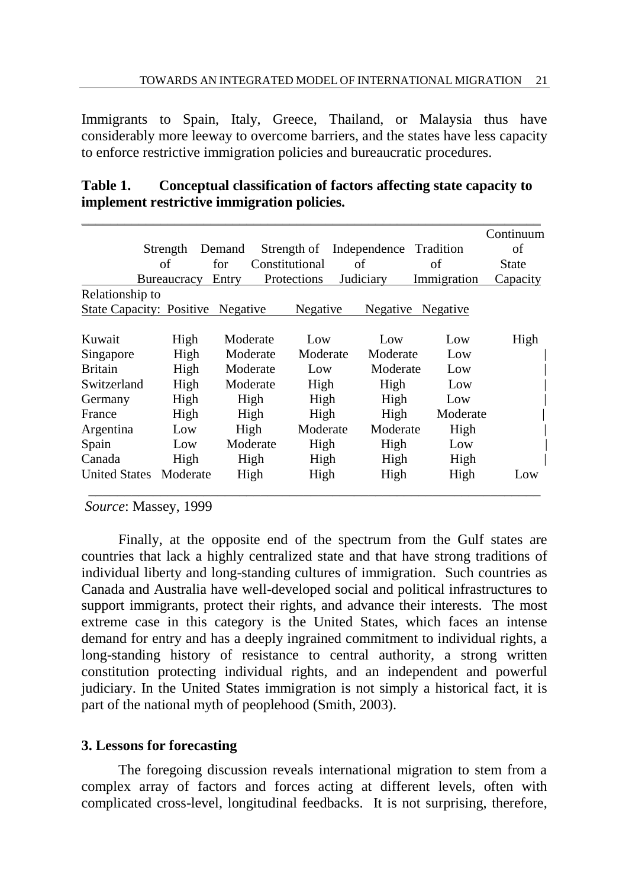Immigrants to Spain, Italy, Greece, Thailand, or Malaysia thus have considerably more leeway to overcome barriers, and the states have less capacity to enforce restrictive immigration policies and bureaucratic procedures.

|                                 |             |                       |                 |                        |             | Continuum |
|---------------------------------|-------------|-----------------------|-----------------|------------------------|-------------|-----------|
|                                 | Strength    | Demand                | Strength of     | Independence Tradition |             | of        |
| of                              |             | Constitutional<br>for |                 | of                     | οf          | State     |
|                                 | Bureaucracy | Entry                 | Protections     | Judiciary              | Immigration | Capacity  |
| Relationship to                 |             |                       |                 |                        |             |           |
| <b>State Capacity: Positive</b> |             | <b>Negative</b>       | <b>Negative</b> | Negative               | Negative    |           |
|                                 |             |                       |                 |                        |             |           |
| Kuwait                          | High        | Moderate              | Low             | Low                    | Low         | High      |
| Singapore                       | High        | Moderate              | Moderate        | Moderate               | Low         |           |
| <b>Britain</b>                  | High        | Moderate              | Low             | Moderate               | Low         |           |
| Switzerland                     | High        | Moderate              | High            | High                   | Low         |           |
| Germany                         | High        | High                  | High            | High                   | Low         |           |
| France                          | High        | High                  | High            | High                   | Moderate    |           |
| Argentina                       | Low         | High                  | Moderate        | Moderate               | High        |           |
| Spain                           | Low         | Moderate              | High            | High                   | Low         |           |
| Canada                          | High        | High                  | High            | High                   | High        |           |
| <b>United States</b>            | Moderate    | High                  | High            | High                   | High        | Low       |

| Table 1. | Conceptual classification of factors affecting state capacity to |
|----------|------------------------------------------------------------------|
|          | implement restrictive immigration policies.                      |

*Source*: Massey, 1999

Finally, at the opposite end of the spectrum from the Gulf states are countries that lack a highly centralized state and that have strong traditions of individual liberty and long-standing cultures of immigration. Such countries as Canada and Australia have well-developed social and political infrastructures to support immigrants, protect their rights, and advance their interests. The most extreme case in this category is the United States, which faces an intense demand for entry and has a deeply ingrained commitment to individual rights, a long-standing history of resistance to central authority, a strong written constitution protecting individual rights, and an independent and powerful judiciary. In the United States immigration is not simply a historical fact, it is part of the national myth of peoplehood (Smith, 2003).

### **3. Lessons for forecasting**

The foregoing discussion reveals international migration to stem from a complex array of factors and forces acting at different levels, often with complicated cross-level, longitudinal feedbacks. It is not surprising, therefore,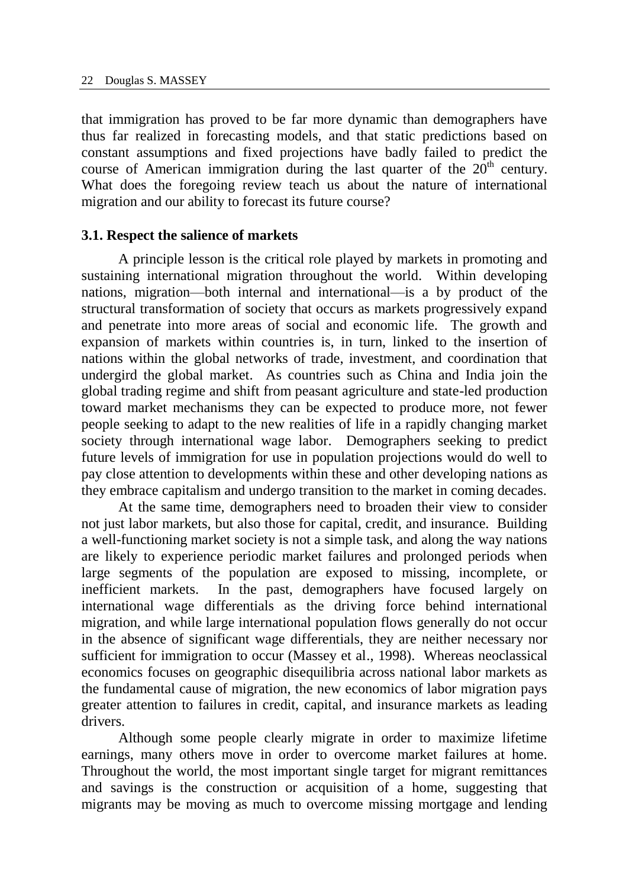that immigration has proved to be far more dynamic than demographers have thus far realized in forecasting models, and that static predictions based on constant assumptions and fixed projections have badly failed to predict the course of American immigration during the last quarter of the  $20<sup>th</sup>$  century. What does the foregoing review teach us about the nature of international migration and our ability to forecast its future course?

#### **3.1. Respect the salience of markets**

A principle lesson is the critical role played by markets in promoting and sustaining international migration throughout the world. Within developing nations, migration—both internal and international—is a by product of the structural transformation of society that occurs as markets progressively expand and penetrate into more areas of social and economic life. The growth and expansion of markets within countries is, in turn, linked to the insertion of nations within the global networks of trade, investment, and coordination that undergird the global market. As countries such as China and India join the global trading regime and shift from peasant agriculture and state-led production toward market mechanisms they can be expected to produce more, not fewer people seeking to adapt to the new realities of life in a rapidly changing market society through international wage labor. Demographers seeking to predict future levels of immigration for use in population projections would do well to pay close attention to developments within these and other developing nations as they embrace capitalism and undergo transition to the market in coming decades.

At the same time, demographers need to broaden their view to consider not just labor markets, but also those for capital, credit, and insurance. Building a well-functioning market society is not a simple task, and along the way nations are likely to experience periodic market failures and prolonged periods when large segments of the population are exposed to missing, incomplete, or inefficient markets. In the past, demographers have focused largely on international wage differentials as the driving force behind international migration, and while large international population flows generally do not occur in the absence of significant wage differentials, they are neither necessary nor sufficient for immigration to occur (Massey et al., 1998). Whereas neoclassical economics focuses on geographic disequilibria across national labor markets as the fundamental cause of migration, the new economics of labor migration pays greater attention to failures in credit, capital, and insurance markets as leading drivers.

Although some people clearly migrate in order to maximize lifetime earnings, many others move in order to overcome market failures at home. Throughout the world, the most important single target for migrant remittances and savings is the construction or acquisition of a home, suggesting that migrants may be moving as much to overcome missing mortgage and lending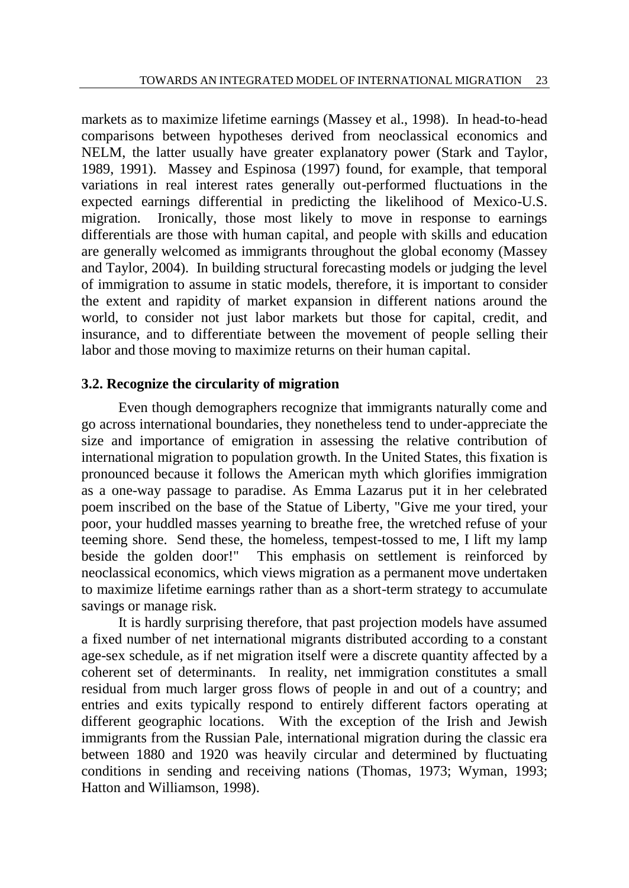markets as to maximize lifetime earnings (Massey et al., 1998). In head-to-head comparisons between hypotheses derived from neoclassical economics and NELM, the latter usually have greater explanatory power (Stark and Taylor, 1989, 1991). Massey and Espinosa (1997) found, for example, that temporal variations in real interest rates generally out-performed fluctuations in the expected earnings differential in predicting the likelihood of Mexico-U.S. migration. Ironically, those most likely to move in response to earnings differentials are those with human capital, and people with skills and education are generally welcomed as immigrants throughout the global economy (Massey and Taylor, 2004). In building structural forecasting models or judging the level of immigration to assume in static models, therefore, it is important to consider the extent and rapidity of market expansion in different nations around the world, to consider not just labor markets but those for capital, credit, and insurance, and to differentiate between the movement of people selling their labor and those moving to maximize returns on their human capital.

## **3.2. Recognize the circularity of migration**

Even though demographers recognize that immigrants naturally come and go across international boundaries, they nonetheless tend to under-appreciate the size and importance of emigration in assessing the relative contribution of international migration to population growth. In the United States, this fixation is pronounced because it follows the American myth which glorifies immigration as a one-way passage to paradise. As Emma Lazarus put it in her celebrated poem inscribed on the base of the Statue of Liberty, "Give me your tired, your poor, your huddled masses yearning to breathe free, the wretched refuse of your teeming shore. Send these, the homeless, tempest-tossed to me, I lift my lamp beside the golden door!" This emphasis on settlement is reinforced by neoclassical economics, which views migration as a permanent move undertaken to maximize lifetime earnings rather than as a short-term strategy to accumulate savings or manage risk.

It is hardly surprising therefore, that past projection models have assumed a fixed number of net international migrants distributed according to a constant age-sex schedule, as if net migration itself were a discrete quantity affected by a coherent set of determinants. In reality, net immigration constitutes a small residual from much larger gross flows of people in and out of a country; and entries and exits typically respond to entirely different factors operating at different geographic locations. With the exception of the Irish and Jewish immigrants from the Russian Pale, international migration during the classic era between 1880 and 1920 was heavily circular and determined by fluctuating conditions in sending and receiving nations (Thomas, 1973; Wyman, 1993; Hatton and Williamson, 1998).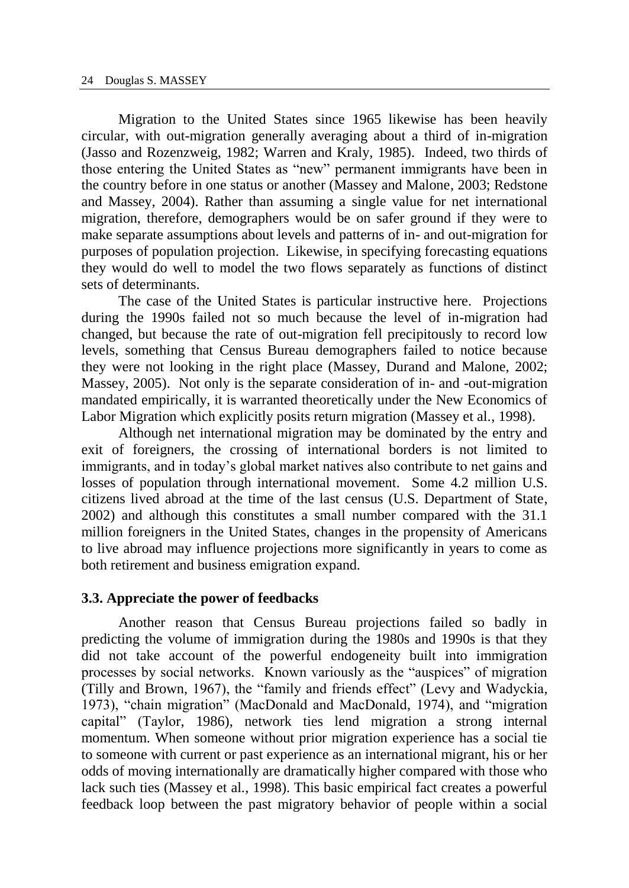Migration to the United States since 1965 likewise has been heavily circular, with out-migration generally averaging about a third of in-migration (Jasso and Rozenzweig, 1982; Warren and Kraly, 1985). Indeed, two thirds of those entering the United States as "new" permanent immigrants have been in the country before in one status or another (Massey and Malone, 2003; Redstone and Massey, 2004). Rather than assuming a single value for net international migration, therefore, demographers would be on safer ground if they were to make separate assumptions about levels and patterns of in- and out-migration for purposes of population projection. Likewise, in specifying forecasting equations they would do well to model the two flows separately as functions of distinct sets of determinants.

The case of the United States is particular instructive here. Projections during the 1990s failed not so much because the level of in-migration had changed, but because the rate of out-migration fell precipitously to record low levels, something that Census Bureau demographers failed to notice because they were not looking in the right place (Massey, Durand and Malone, 2002; Massey, 2005). Not only is the separate consideration of in- and -out-migration mandated empirically, it is warranted theoretically under the New Economics of Labor Migration which explicitly posits return migration (Massey et al., 1998).

Although net international migration may be dominated by the entry and exit of foreigners, the crossing of international borders is not limited to immigrants, and in today's global market natives also contribute to net gains and losses of population through international movement. Some 4.2 million U.S. citizens lived abroad at the time of the last census (U.S. Department of State, 2002) and although this constitutes a small number compared with the 31.1 million foreigners in the United States, changes in the propensity of Americans to live abroad may influence projections more significantly in years to come as both retirement and business emigration expand.

#### **3.3. Appreciate the power of feedbacks**

Another reason that Census Bureau projections failed so badly in predicting the volume of immigration during the 1980s and 1990s is that they did not take account of the powerful endogeneity built into immigration processes by social networks. Known variously as the "auspices" of migration (Tilly and Brown, 1967), the "family and friends effect" (Levy and Wadyckia, 1973), "chain migration" (MacDonald and MacDonald, 1974), and "migration capital" (Taylor, 1986), network ties lend migration a strong internal momentum. When someone without prior migration experience has a social tie to someone with current or past experience as an international migrant, his or her odds of moving internationally are dramatically higher compared with those who lack such ties (Massey et al., 1998). This basic empirical fact creates a powerful feedback loop between the past migratory behavior of people within a social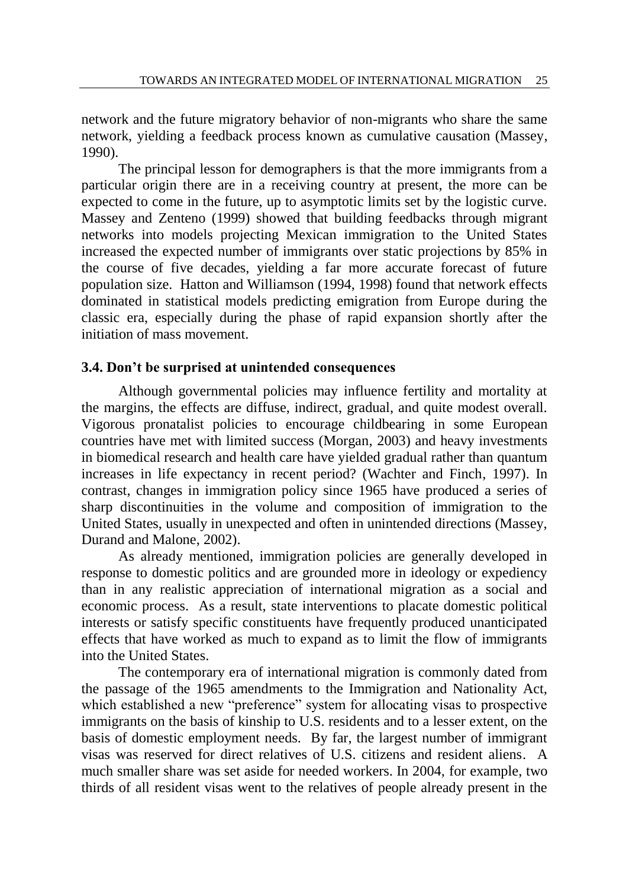network and the future migratory behavior of non-migrants who share the same network, yielding a feedback process known as cumulative causation (Massey, 1990).

The principal lesson for demographers is that the more immigrants from a particular origin there are in a receiving country at present, the more can be expected to come in the future, up to asymptotic limits set by the logistic curve. Massey and Zenteno (1999) showed that building feedbacks through migrant networks into models projecting Mexican immigration to the United States increased the expected number of immigrants over static projections by 85% in the course of five decades, yielding a far more accurate forecast of future population size. Hatton and Williamson (1994, 1998) found that network effects dominated in statistical models predicting emigration from Europe during the classic era, especially during the phase of rapid expansion shortly after the initiation of mass movement.

## **3.4. Don't be surprised at unintended consequences**

Although governmental policies may influence fertility and mortality at the margins, the effects are diffuse, indirect, gradual, and quite modest overall. Vigorous pronatalist policies to encourage childbearing in some European countries have met with limited success (Morgan, 2003) and heavy investments in biomedical research and health care have yielded gradual rather than quantum increases in life expectancy in recent period? (Wachter and Finch, 1997). In contrast, changes in immigration policy since 1965 have produced a series of sharp discontinuities in the volume and composition of immigration to the United States, usually in unexpected and often in unintended directions (Massey, Durand and Malone, 2002).

As already mentioned, immigration policies are generally developed in response to domestic politics and are grounded more in ideology or expediency than in any realistic appreciation of international migration as a social and economic process. As a result, state interventions to placate domestic political interests or satisfy specific constituents have frequently produced unanticipated effects that have worked as much to expand as to limit the flow of immigrants into the United States.

The contemporary era of international migration is commonly dated from the passage of the 1965 amendments to the Immigration and Nationality Act, which established a new "preference" system for allocating visas to prospective immigrants on the basis of kinship to U.S. residents and to a lesser extent, on the basis of domestic employment needs. By far, the largest number of immigrant visas was reserved for direct relatives of U.S. citizens and resident aliens. A much smaller share was set aside for needed workers. In 2004, for example, two thirds of all resident visas went to the relatives of people already present in the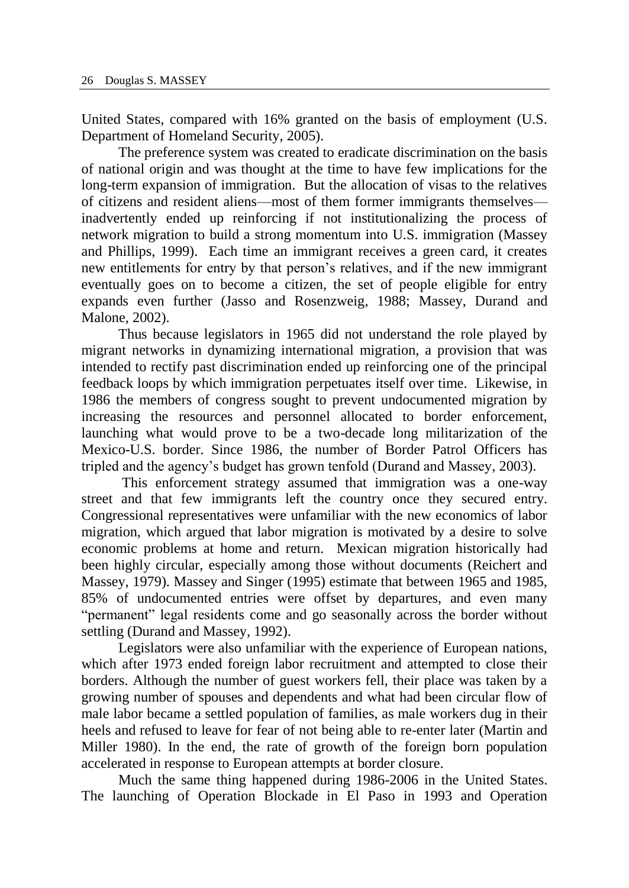United States, compared with 16% granted on the basis of employment (U.S. Department of Homeland Security, 2005).

The preference system was created to eradicate discrimination on the basis of national origin and was thought at the time to have few implications for the long-term expansion of immigration. But the allocation of visas to the relatives of citizens and resident aliens—most of them former immigrants themselves inadvertently ended up reinforcing if not institutionalizing the process of network migration to build a strong momentum into U.S. immigration (Massey and Phillips, 1999). Each time an immigrant receives a green card, it creates new entitlements for entry by that person's relatives, and if the new immigrant eventually goes on to become a citizen, the set of people eligible for entry expands even further (Jasso and Rosenzweig, 1988; Massey, Durand and Malone, 2002).

Thus because legislators in 1965 did not understand the role played by migrant networks in dynamizing international migration, a provision that was intended to rectify past discrimination ended up reinforcing one of the principal feedback loops by which immigration perpetuates itself over time. Likewise, in 1986 the members of congress sought to prevent undocumented migration by increasing the resources and personnel allocated to border enforcement, launching what would prove to be a two-decade long militarization of the Mexico-U.S. border. Since 1986, the number of Border Patrol Officers has tripled and the agency's budget has grown tenfold (Durand and Massey, 2003).

This enforcement strategy assumed that immigration was a one-way street and that few immigrants left the country once they secured entry. Congressional representatives were unfamiliar with the new economics of labor migration, which argued that labor migration is motivated by a desire to solve economic problems at home and return. Mexican migration historically had been highly circular, especially among those without documents (Reichert and Massey, 1979). Massey and Singer (1995) estimate that between 1965 and 1985, 85% of undocumented entries were offset by departures, and even many "permanent" legal residents come and go seasonally across the border without settling (Durand and Massey, 1992).

Legislators were also unfamiliar with the experience of European nations, which after 1973 ended foreign labor recruitment and attempted to close their borders. Although the number of guest workers fell, their place was taken by a growing number of spouses and dependents and what had been circular flow of male labor became a settled population of families, as male workers dug in their heels and refused to leave for fear of not being able to re-enter later (Martin and Miller 1980). In the end, the rate of growth of the foreign born population accelerated in response to European attempts at border closure.

Much the same thing happened during 1986-2006 in the United States. The launching of Operation Blockade in El Paso in 1993 and Operation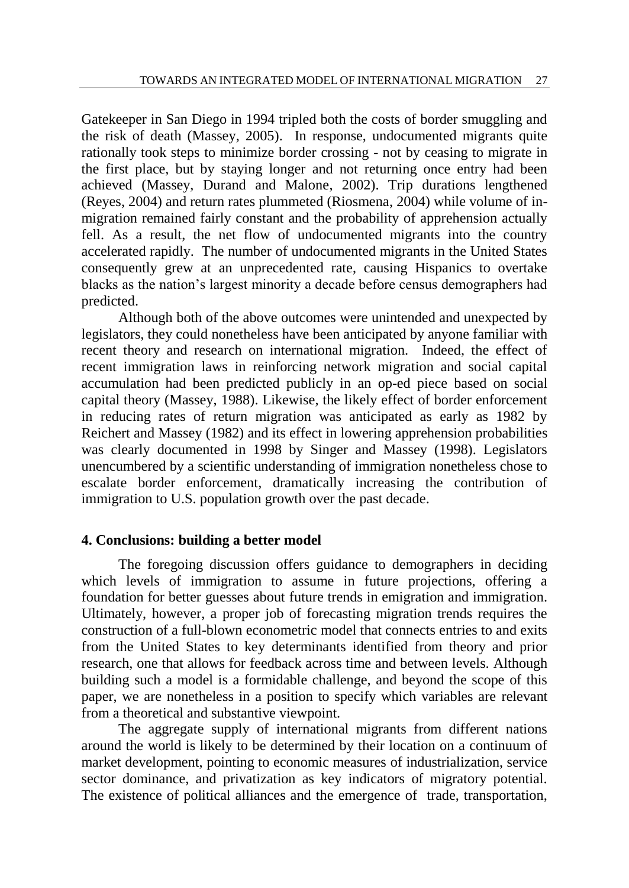Gatekeeper in San Diego in 1994 tripled both the costs of border smuggling and the risk of death (Massey, 2005). In response, undocumented migrants quite rationally took steps to minimize border crossing - not by ceasing to migrate in the first place, but by staying longer and not returning once entry had been achieved (Massey, Durand and Malone, 2002). Trip durations lengthened (Reyes, 2004) and return rates plummeted (Riosmena, 2004) while volume of inmigration remained fairly constant and the probability of apprehension actually fell. As a result, the net flow of undocumented migrants into the country accelerated rapidly. The number of undocumented migrants in the United States consequently grew at an unprecedented rate, causing Hispanics to overtake blacks as the nation's largest minority a decade before census demographers had predicted.

Although both of the above outcomes were unintended and unexpected by legislators, they could nonetheless have been anticipated by anyone familiar with recent theory and research on international migration. Indeed, the effect of recent immigration laws in reinforcing network migration and social capital accumulation had been predicted publicly in an op-ed piece based on social capital theory (Massey, 1988). Likewise, the likely effect of border enforcement in reducing rates of return migration was anticipated as early as 1982 by Reichert and Massey (1982) and its effect in lowering apprehension probabilities was clearly documented in 1998 by Singer and Massey (1998). Legislators unencumbered by a scientific understanding of immigration nonetheless chose to escalate border enforcement, dramatically increasing the contribution of immigration to U.S. population growth over the past decade.

### **4. Conclusions: building a better model**

The foregoing discussion offers guidance to demographers in deciding which levels of immigration to assume in future projections, offering a foundation for better guesses about future trends in emigration and immigration. Ultimately, however, a proper job of forecasting migration trends requires the construction of a full-blown econometric model that connects entries to and exits from the United States to key determinants identified from theory and prior research, one that allows for feedback across time and between levels. Although building such a model is a formidable challenge, and beyond the scope of this paper, we are nonetheless in a position to specify which variables are relevant from a theoretical and substantive viewpoint.

The aggregate supply of international migrants from different nations around the world is likely to be determined by their location on a continuum of market development, pointing to economic measures of industrialization, service sector dominance, and privatization as key indicators of migratory potential. The existence of political alliances and the emergence of trade, transportation,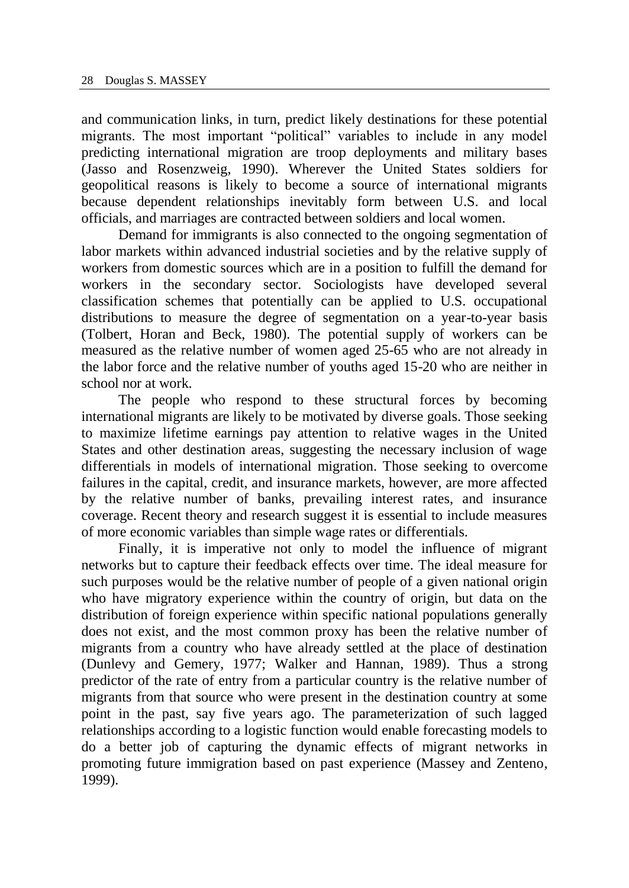and communication links, in turn, predict likely destinations for these potential migrants. The most important "political" variables to include in any model predicting international migration are troop deployments and military bases (Jasso and Rosenzweig, 1990). Wherever the United States soldiers for geopolitical reasons is likely to become a source of international migrants because dependent relationships inevitably form between U.S. and local officials, and marriages are contracted between soldiers and local women.

Demand for immigrants is also connected to the ongoing segmentation of labor markets within advanced industrial societies and by the relative supply of workers from domestic sources which are in a position to fulfill the demand for workers in the secondary sector. Sociologists have developed several classification schemes that potentially can be applied to U.S. occupational distributions to measure the degree of segmentation on a year-to-year basis (Tolbert, Horan and Beck, 1980). The potential supply of workers can be measured as the relative number of women aged 25-65 who are not already in the labor force and the relative number of youths aged 15-20 who are neither in school nor at work.

The people who respond to these structural forces by becoming international migrants are likely to be motivated by diverse goals. Those seeking to maximize lifetime earnings pay attention to relative wages in the United States and other destination areas, suggesting the necessary inclusion of wage differentials in models of international migration. Those seeking to overcome failures in the capital, credit, and insurance markets, however, are more affected by the relative number of banks, prevailing interest rates, and insurance coverage. Recent theory and research suggest it is essential to include measures of more economic variables than simple wage rates or differentials.

Finally, it is imperative not only to model the influence of migrant networks but to capture their feedback effects over time. The ideal measure for such purposes would be the relative number of people of a given national origin who have migratory experience within the country of origin, but data on the distribution of foreign experience within specific national populations generally does not exist, and the most common proxy has been the relative number of migrants from a country who have already settled at the place of destination (Dunlevy and Gemery, 1977; Walker and Hannan, 1989). Thus a strong predictor of the rate of entry from a particular country is the relative number of migrants from that source who were present in the destination country at some point in the past, say five years ago. The parameterization of such lagged relationships according to a logistic function would enable forecasting models to do a better job of capturing the dynamic effects of migrant networks in promoting future immigration based on past experience (Massey and Zenteno, 1999).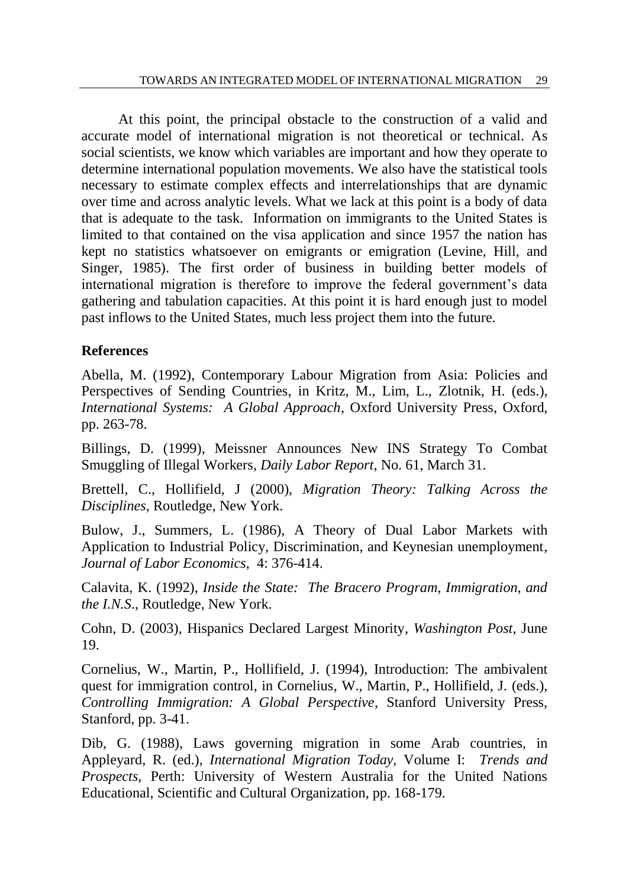At this point, the principal obstacle to the construction of a valid and accurate model of international migration is not theoretical or technical. As social scientists, we know which variables are important and how they operate to determine international population movements. We also have the statistical tools necessary to estimate complex effects and interrelationships that are dynamic over time and across analytic levels. What we lack at this point is a body of data that is adequate to the task. Information on immigrants to the United States is limited to that contained on the visa application and since 1957 the nation has kept no statistics whatsoever on emigrants or emigration (Levine, Hill, and Singer, 1985). The first order of business in building better models of international migration is therefore to improve the federal government's data gathering and tabulation capacities. At this point it is hard enough just to model past inflows to the United States, much less project them into the future.

## **References**

Abella, M. (1992), Contemporary Labour Migration from Asia: Policies and Perspectives of Sending Countries, in Kritz, M., Lim, L., Zlotnik, H. (eds.), *International Systems: A Global Approach*, Oxford University Press, Oxford, pp. 263-78.

Billings, D. (1999), Meissner Announces New INS Strategy To Combat Smuggling of Illegal Workers, *Daily Labor Report*, No. 61, March 31.

Brettell, C., Hollifield, J (2000), *Migration Theory: Talking Across the Disciplines*, Routledge, New York.

Bulow, J., Summers, L. (1986), A Theory of Dual Labor Markets with Application to Industrial Policy, Discrimination, and Keynesian unemployment, *Journal of Labor Economics*, 4: 376-414.

Calavita, K. (1992), *Inside the State: The Bracero Program, Immigration, and the I.N.S*., Routledge, New York.

Cohn, D. (2003), Hispanics Declared Largest Minority, *Washington Post*, June 19.

Cornelius, W., Martin, P., Hollifield, J. (1994), Introduction: The ambivalent quest for immigration control, in Cornelius, W., Martin, P., Hollifield, J. (eds.), *Controlling Immigration: A Global Perspective,* Stanford University Press, Stanford, pp. 3-41.

Dib, G. (1988), Laws governing migration in some Arab countries, in Appleyard, R. (ed.), *International Migration Today,* Volume I: *Trends and Prospects*, Perth: University of Western Australia for the United Nations Educational, Scientific and Cultural Organization, pp. 168-179.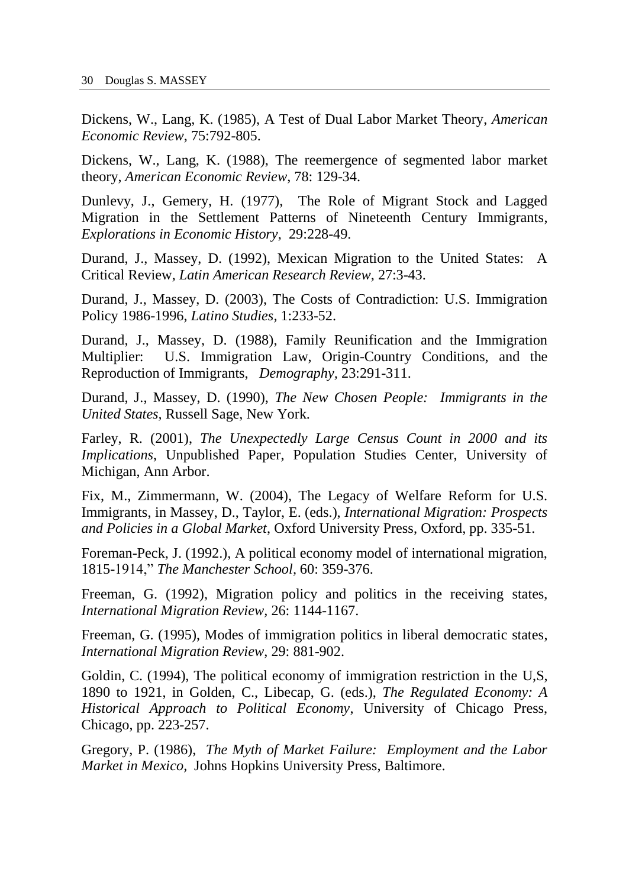Dickens, W., Lang, K. (1985), A Test of Dual Labor Market Theory, *American Economic Review*, 75:792-805.

Dickens, W., Lang, K. (1988), The reemergence of segmented labor market theory, *American Economic Review*, 78: 129-34.

Dunlevy, J., Gemery, H. (1977), The Role of Migrant Stock and Lagged Migration in the Settlement Patterns of Nineteenth Century Immigrants, *Explorations in Economic History*, 29:228-49.

Durand, J., Massey, D. (1992), Mexican Migration to the United States: A Critical Review, *Latin American Research Review*, 27:3-43.

Durand, J., Massey, D. (2003), The Costs of Contradiction: U.S. Immigration Policy 1986-1996, *Latino Studies,* 1:233-52.

Durand, J., Massey, D. (1988), Family Reunification and the Immigration Multiplier: U.S. Immigration Law, Origin-Country Conditions, and the Reproduction of Immigrants, *Demography,* 23:291-311.

Durand, J., Massey, D. (1990), *The New Chosen People: Immigrants in the United States,* Russell Sage, New York.

Farley, R. (2001), *The Unexpectedly Large Census Count in 2000 and its Implications*, Unpublished Paper, Population Studies Center, University of Michigan, Ann Arbor.

Fix, M., Zimmermann, W. (2004), The Legacy of Welfare Reform for U.S. Immigrants, in Massey, D., Taylor, E. (eds.), *International Migration: Prospects and Policies in a Global Market*, Oxford University Press, Oxford, pp. 335-51.

Foreman-Peck, J. (1992.), A political economy model of international migration, 1815-1914," *The Manchester School,* 60: 359-376.

Freeman, G. (1992), Migration policy and politics in the receiving states, *International Migration Review,* 26: 1144-1167.

Freeman, G. (1995), Modes of immigration politics in liberal democratic states, *International Migration Review*, 29: 881-902.

Goldin, C. (1994), The political economy of immigration restriction in the U,S, 1890 to 1921, in Golden, C., Libecap, G. (eds.), *The Regulated Economy: A Historical Approach to Political Economy*, University of Chicago Press, Chicago, pp. 223-257.

Gregory, P. (1986), *The Myth of Market Failure: Employment and the Labor Market in Mexico,* Johns Hopkins University Press, Baltimore.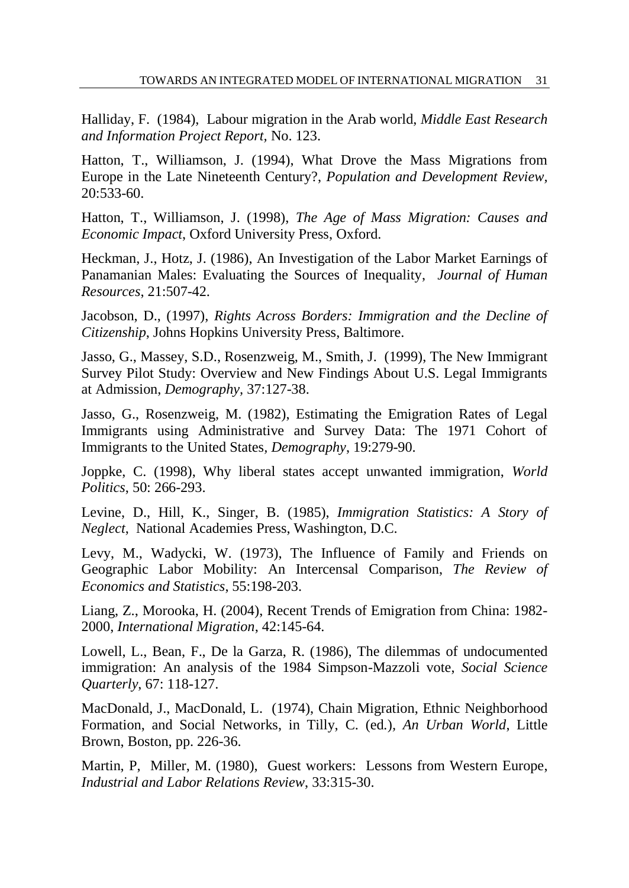Halliday, F. (1984), Labour migration in the Arab world, *Middle East Research and Information Project Report,* No. 123.

Hatton, T., Williamson, J. (1994), What Drove the Mass Migrations from Europe in the Late Nineteenth Century?, *Population and Development Review,*  20:533-60.

Hatton, T., Williamson, J. (1998), *The Age of Mass Migration: Causes and Economic Impact*, Oxford University Press, Oxford.

Heckman, J., Hotz, J. (1986), An Investigation of the Labor Market Earnings of Panamanian Males: Evaluating the Sources of Inequality, *Journal of Human Resources*, 21:507-42.

Jacobson, D., (1997), *Rights Across Borders: Immigration and the Decline of Citizenship*, Johns Hopkins University Press, Baltimore.

Jasso, G., Massey, S.D., Rosenzweig, M., Smith, J. (1999), The New Immigrant Survey Pilot Study: Overview and New Findings About U.S. Legal Immigrants at Admission, *Demography,* 37:127-38.

Jasso, G., Rosenzweig, M. (1982), Estimating the Emigration Rates of Legal Immigrants using Administrative and Survey Data: The 1971 Cohort of Immigrants to the United States*, Demography*, 19:279-90.

Joppke, C. (1998), Why liberal states accept unwanted immigration, *World Politics*, 50: 266-293.

Levine, D., Hill, K., Singer, B. (1985), *Immigration Statistics: A Story of Neglect*, National Academies Press, Washington, D.C.

Levy, M., Wadycki, W. (1973), The Influence of Family and Friends on Geographic Labor Mobility: An Intercensal Comparison, *The Review of Economics and Statistics*, 55:198-203.

Liang, Z., Morooka, H. (2004), Recent Trends of Emigration from China: 1982- 2000, *International Migration*, 42:145-64.

Lowell, L., Bean, F., De la Garza, R. (1986), The dilemmas of undocumented immigration: An analysis of the 1984 Simpson-Mazzoli vote, *Social Science Quarterly*, 67: 118-127.

MacDonald, J., MacDonald, L. (1974), Chain Migration, Ethnic Neighborhood Formation, and Social Networks, in Tilly, C. (ed*.*)*, An Urban World*, Little Brown, Boston, pp. 226-36.

Martin, P, Miller, M. (1980), Guest workers: Lessons from Western Europe, *Industrial and Labor Relations Review*, 33:315-30.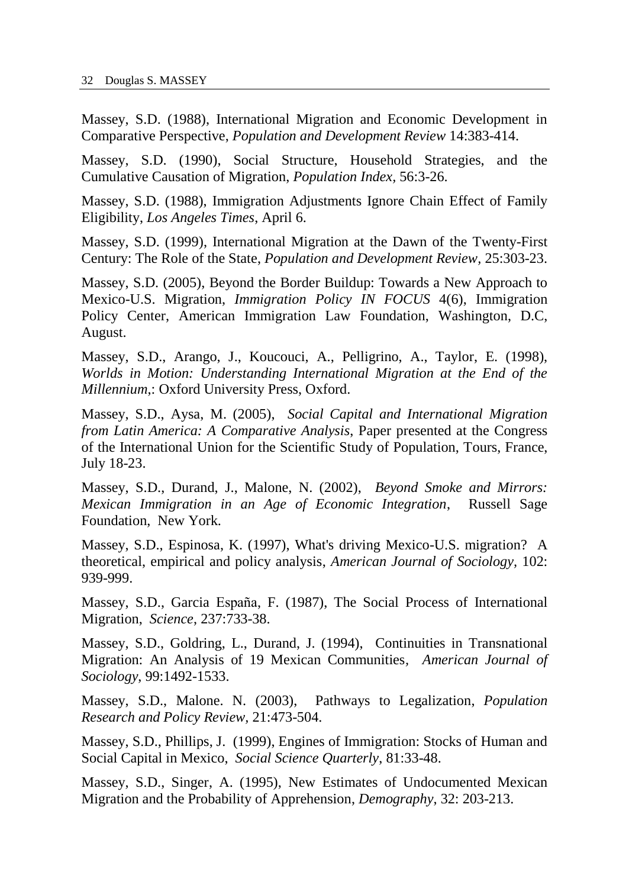Massey, S.D. (1988), International Migration and Economic Development in Comparative Perspective, *Population and Development Review* 14:383-414.

Massey, S.D. (1990), Social Structure, Household Strategies, and the Cumulative Causation of Migration, *Population Index,* 56:3-26.

Massey, S.D. (1988), Immigration Adjustments Ignore Chain Effect of Family Eligibility, *Los Angeles Times*, April 6.

Massey, S.D. (1999), International Migration at the Dawn of the Twenty-First Century: The Role of the State, *Population and Development Review,* 25:303-23.

Massey, S.D. (2005), Beyond the Border Buildup: Towards a New Approach to Mexico-U.S. Migration, *Immigration Policy IN FOCUS* 4(6), Immigration Policy Center, American Immigration Law Foundation, Washington, D.C, August.

Massey, S.D., Arango, J., Koucouci, A., Pelligrino, A., Taylor, E. (1998), *Worlds in Motion: Understanding International Migration at the End of the Millennium*,: Oxford University Press, Oxford.

Massey, S.D., Aysa, M. (2005), *Social Capital and International Migration from Latin America: A Comparative Analysis*, Paper presented at the Congress of the International Union for the Scientific Study of Population, Tours, France, July 18-23.

Massey, S.D., Durand, J., Malone, N. (2002), *Beyond Smoke and Mirrors: Mexican Immigration in an Age of Economic Integration*, Russell Sage Foundation, New York.

Massey, S.D., Espinosa, K. (1997), What's driving Mexico-U.S. migration? A theoretical, empirical and policy analysis, *American Journal of Sociology,* 102: 939-999.

Massey, S.D., Garcia España, F. (1987), The Social Process of International Migration, *Science*, 237:733-38.

Massey, S.D., Goldring, L., Durand, J. (1994), Continuities in Transnational Migration: An Analysis of 19 Mexican Communities*, American Journal of Sociology*, 99:1492-1533.

Massey, S.D., Malone. N. (2003), Pathways to Legalization, *Population Research and Policy Review,* 21:473-504.

Massey, S.D., Phillips, J. (1999), Engines of Immigration: Stocks of Human and Social Capital in Mexico, *Social Science Quarterly*, 81:33-48.

Massey, S.D., Singer, A. (1995), New Estimates of Undocumented Mexican Migration and the Probability of Apprehension, *Demography*, 32: 203-213.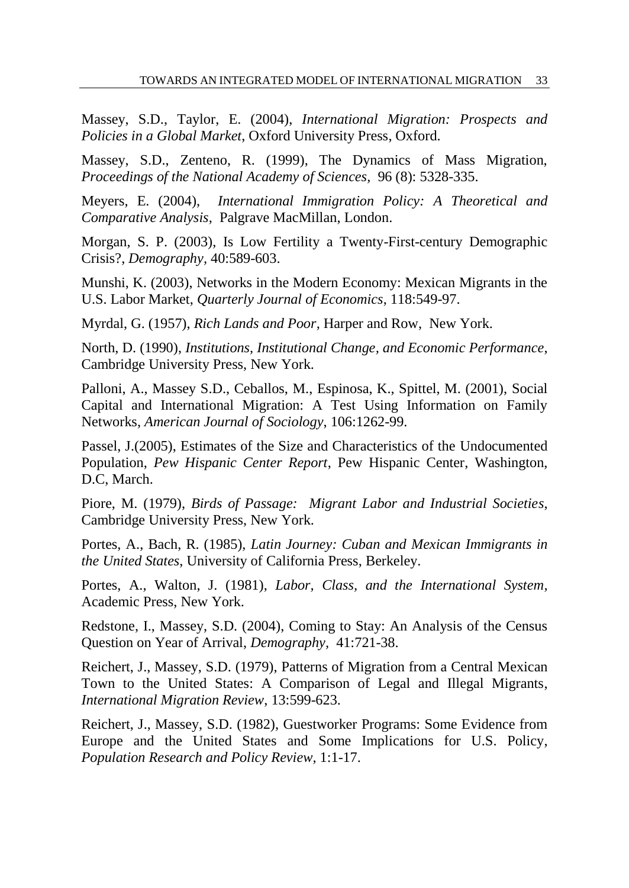Massey, S.D., Taylor, E. (2004), *International Migration: Prospects and Policies in a Global Market*, Oxford University Press, Oxford.

Massey, S.D., Zenteno, R. (1999), The Dynamics of Mass Migration, *Proceedings of the National Academy of Sciences,* 96 (8): 5328-335.

Meyers, E. (2004), *International Immigration Policy: A Theoretical and Comparative Analysis,* Palgrave MacMillan, London.

Morgan, S. P. (2003), Is Low Fertility a Twenty-First-century Demographic Crisis?, *Demography,* 40:589-603.

Munshi, K. (2003), Networks in the Modern Economy: Mexican Migrants in the U.S. Labor Market, *Quarterly Journal of Economics*, 118:549-97.

Myrdal, G. (1957), *Rich Lands and Poor,* Harper and Row, New York.

North, D. (1990), *Institutions, Institutional Change, and Economic Performance*, Cambridge University Press, New York.

Palloni, A., Massey S.D., Ceballos, M., Espinosa, K., Spittel, M. (2001), Social Capital and International Migration: A Test Using Information on Family Networks, *American Journal of Sociology*, 106:1262-99.

Passel, J.(2005), Estimates of the Size and Characteristics of the Undocumented Population, *Pew Hispanic Center Report*, Pew Hispanic Center, Washington, D.C, March.

Piore, M. (1979), *Birds of Passage: Migrant Labor and Industrial Societies*, Cambridge University Press, New York.

Portes, A., Bach, R. (1985), *Latin Journey: Cuban and Mexican Immigrants in the United States*, University of California Press, Berkeley.

Portes, A., Walton, J. (1981), *Labor, Class, and the International System,* Academic Press, New York.

Redstone, I., Massey, S.D. (2004), Coming to Stay: An Analysis of the Census Question on Year of Arrival, *Demography,* 41:721-38.

Reichert, J., Massey, S.D. (1979), Patterns of Migration from a Central Mexican Town to the United States: A Comparison of Legal and Illegal Migrants, *International Migration Review*, 13:599-623.

Reichert, J., Massey, S.D. (1982), Guestworker Programs: Some Evidence from Europe and the United States and Some Implications for U.S. Policy, *Population Research and Policy Review,* 1:1-17.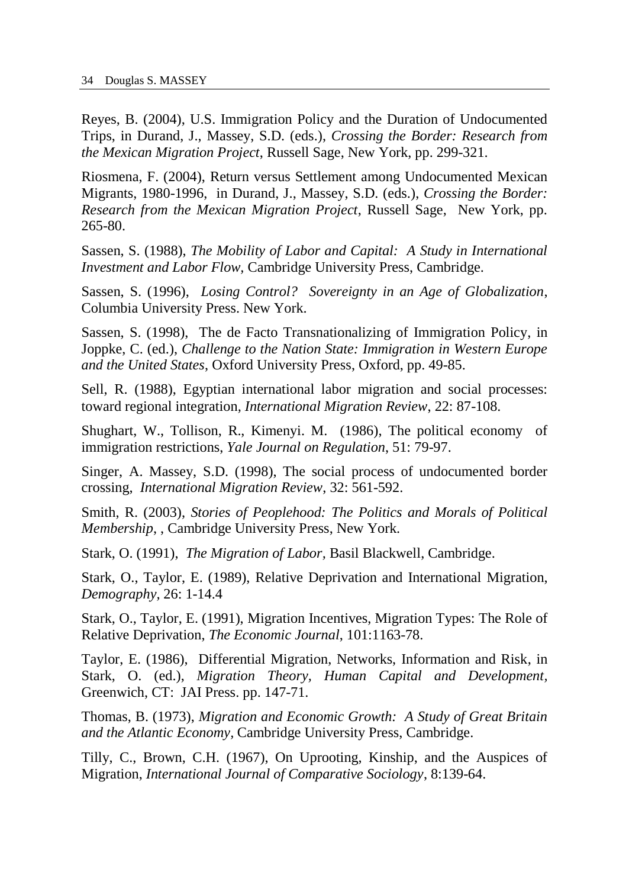Reyes, B. (2004), U.S. Immigration Policy and the Duration of Undocumented Trips, in Durand, J., Massey, S.D. (eds.), *Crossing the Border: Research from the Mexican Migration Project*, Russell Sage, New York, pp. 299-321.

Riosmena, F. (2004), Return versus Settlement among Undocumented Mexican Migrants, 1980-1996, in Durand, J., Massey, S.D. (eds.), *Crossing the Border: Research from the Mexican Migration Project*, Russell Sage, New York, pp. 265-80.

Sassen, S. (1988), *The Mobility of Labor and Capital: A Study in International Investment and Labor Flow,* Cambridge University Press, Cambridge.

Sassen, S. (1996), *Losing Control? Sovereignty in an Age of Globalization*, Columbia University Press. New York.

Sassen, S. (1998), The de Facto Transnationalizing of Immigration Policy, in Joppke, C. (ed.), *Challenge to the Nation State: Immigration in Western Europe and the United States*, Oxford University Press, Oxford, pp. 49-85.

Sell, R. (1988), Egyptian international labor migration and social processes: toward regional integration*, International Migration Review*, 22: 87-108.

Shughart, W., Tollison, R., Kimenyi. M. (1986), The political economy of immigration restrictions, *Yale Journal on Regulation*, 51: 79-97.

Singer, A. Massey, S.D. (1998), The social process of undocumented border crossing, *International Migration Review*, 32: 561-592.

Smith, R. (2003), *Stories of Peoplehood: The Politics and Morals of Political Membership*, , Cambridge University Press, New York.

Stark, O. (1991), *The Migration of Labor,* Basil Blackwell, Cambridge.

Stark, O., Taylor, E. (1989), Relative Deprivation and International Migration, *Demography,* 26: 1-14.4

Stark, O., Taylor, E. (1991), Migration Incentives, Migration Types: The Role of Relative Deprivation, *The Economic Journal*, 101:1163-78.

Taylor, E. (1986), Differential Migration, Networks, Information and Risk, in Stark, O. (ed.), *Migration Theory, Human Capital and Development,* Greenwich, CT: JAI Press. pp. 147-71.

Thomas, B. (1973), *Migration and Economic Growth: A Study of Great Britain and the Atlantic Economy,* Cambridge University Press, Cambridge.

Tilly, C., Brown, C.H. (1967), On Uprooting, Kinship, and the Auspices of Migration, *International Journal of Comparative Sociology*, 8:139-64.